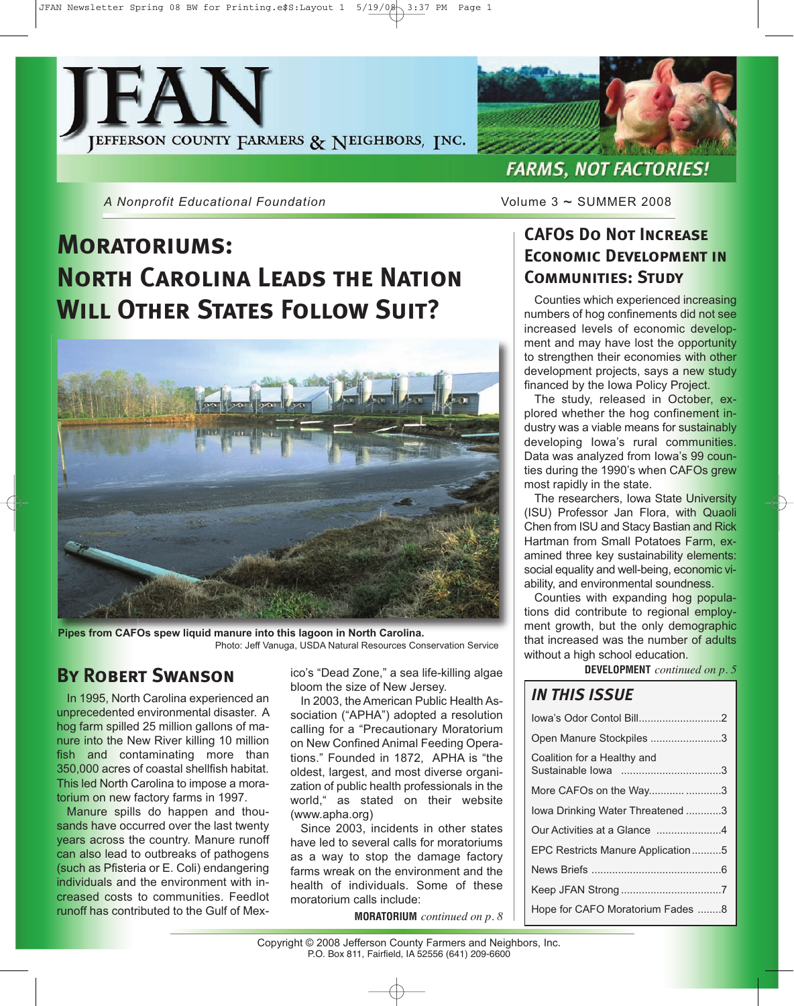JFAN Newsletter Spring 08 BW for Printing.e\$S:Layout 1 5/19/08 3:37 PM Page 1





*A Nonprofit Educational Foundation* Volume 3 ~ SUMMER 2008

# **Moratoriums: North Carolina Leads the Nation Will Other States Follow Suit?**



**Pipes from CAFOs spew liquid manure into this lagoon in North Carolina.** Photo: Jeff Vanuga, USDA Natural Resources Conservation Service

## **By Robert Swanson**

In 1995, North Carolina experienced an unprecedented environmental disaster. A hog farm spilled 25 million gallons of manure into the New River killing 10 million fish and contaminating more than 350,000 acres of coastal shellfish habitat. This led North Carolina to impose a moratorium on new factory farms in 1997.

Manure spills do happen and thousands have occurred over the last twenty years across the country. Manure runoff can also lead to outbreaks of pathogens (such as Pfisteria or E. Coli) endangering individuals and the environment with increased costs to communities. Feedlot runoff has contributed to the Gulf of Mex-

ico's "Dead Zone," a sea life-killing algae bloom the size of New Jersey.

In 2003, the American Public Health Association ("APHA") adopted a resolution calling for a "Precautionary Moratorium on New Confined Animal Feeding Operations." Founded in 1872, APHA is "the oldest, largest, and most diverse organization of public health professionals in the world," as stated on their website (www.apha.org)

Since 2003, incidents in other states have led to several calls for moratoriums as a way to stop the damage factory farms wreak on the environment and the health of individuals. Some of these moratorium calls include:

**MORATORIUM** *continued on p. 8*

# **CAFOs Do Not Increase Economic Development in Communities: Study**

Counties which experienced increasing numbers of hog confinements did not see increased levels of economic development and may have lost the opportunity to strengthen their economies with other development projects, says a new study financed by the Iowa Policy Project.

The study, released in October, explored whether the hog confinement industry was a viable means for sustainably developing Iowa's rural communities. Data was analyzed from Iowa's 99 counties during the 1990's when CAFOs grew most rapidly in the state.

The researchers, Iowa State University (ISU) Professor Jan Flora, with Quaoli Chen from ISU and Stacy Bastian and Rick Hartman from Small Potatoes Farm, examined three key sustainability elements: social equality and well-being, economic viability, and environmental soundness.

Counties with expanding hog populations did contribute to regional employment growth, but the only demographic that increased was the number of adults without a high school education.

**DEVELOPMENT** *continued on p. 5*

### *IN THIS ISSUE*

| lowa's Odor Contol Bill2          |  |
|-----------------------------------|--|
| Open Manure Stockpiles 3          |  |
| Coalition for a Healthy and       |  |
| More CAFOs on the Way3            |  |
| lowa Drinking Water Threatened 3  |  |
| Our Activities at a Glance 4      |  |
| EPC Restricts Manure Application5 |  |
|                                   |  |
|                                   |  |
| Hope for CAFO Moratorium Fades 8  |  |
|                                   |  |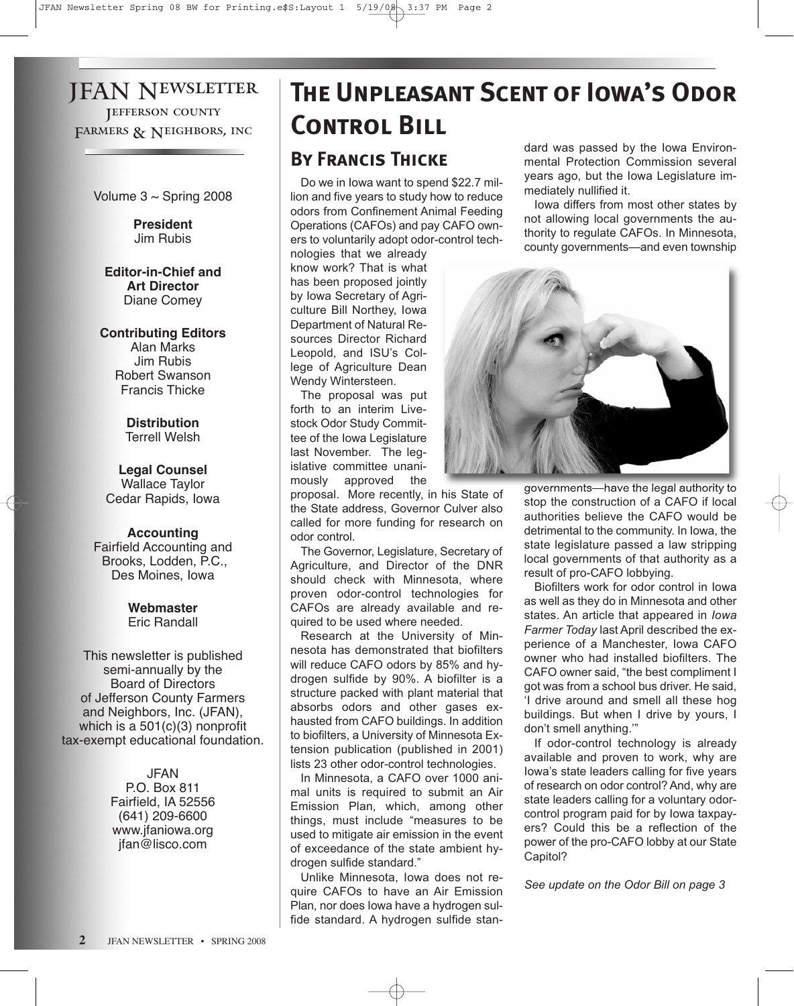# JFAN Newsletter Jefferson county FARMERS & NEIGHBORS, INC.

Volume  $3 \sim$  Spring 2008

**President** Jim Rubis

**Editor-in-Chief and Art Director** Diane Comey

#### **Contributing Editors**

Alan Marks Jim Rubis Robert Swanson Francis Thicke

> **Distribution** Terrell Welsh

**Legal Counsel** Wallace Taylor Cedar Rapids, Iowa

#### **Accounting**

Fairfield Accounting and Brooks, Lodden, P.C., Des Moines, Iowa

> **Webmaster** Eric Randall

This newsletter is published semi-annually by the Board of Directors of Jefferson County Farmers and Neighbors, Inc. (JFAN), which is a 501(c)(3) nonprofit tax-exempt educational foundation.

> JFAN P.O. Box 811 Fairfield, IA 52556 (641) 209-6600 www.jfaniowa.org jfan@lisco.com

# **By Francis Thicke** dard was passed by the Iowa Environ-**The Unpleasant Scent of Iowa's Odor Control Bill**

Do we in Iowa want to spend \$22.7 million and five years to study how to reduce odors from Confinement Animal Feeding Operations (CAFOs) and pay CAFO owners to voluntarily adopt odor-control tech-

nologies that we already know work? That is what has been proposed jointly by Iowa Secretary of Agriculture Bill Northey, Iowa Department of Natural Resources Director Richard Leopold, and ISU's College of Agriculture Dean Wendy Wintersteen.

The proposal was put forth to an interim Livestock Odor Study Committee of the Iowa Legislature last November. The legislative committee unanimously approved the

proposal. More recently, in his State of the State address, Governor Culver also called for more funding for research on odor control.

The Governor, Legislature, Secretary of Agriculture, and Director of the DNR should check with Minnesota, where proven odor-control technologies for CAFOs are already available and required to be used where needed.

Research at the University of Minnesota has demonstrated that biofilters will reduce CAFO odors by 85% and hydrogen sulfide by 90%. A biofilter is a structure packed with plant material that absorbs odors and other gases exhausted from CAFO buildings. In addition to biofilters, a University of Minnesota Extension publication (published in 2001) lists 23 other odor-control technologies.

In Minnesota, a CAFO over 1000 animal units is required to submit an Air Emission Plan, which, among other things, must include "measures to be used to mitigate air emission in the event of exceedance of the state ambient hydrogen sulfide standard."

Unlike Minnesota, Iowa does not require CAFOs to have an Air Emission Plan, nor does Iowa have a hydrogen sulfide standard. A hydrogen sulfide stanmental Protection Commission several years ago, but the Iowa Legislature immediately nullified it.

Iowa differs from most other states by not allowing local governments the authority to regulate CAFOs. In Minnesota, county governments—and even township



governments—have the legal authority to stop the construction of a CAFO if local authorities believe the CAFO would be detrimental to the community. In Iowa, the state legislature passed a law stripping local governments of that authority as a result of pro-CAFO lobbying.

Biofilters work for odor control in Iowa as well as they do in Minnesota and other states. An article that appeared in *Iowa Farmer Today* last April described the experience of a Manchester, Iowa CAFO owner who had installed biofilters. The CAFO owner said, "the best compliment I got was from a school bus driver. He said, 'I drive around and smell all these hog buildings. But when I drive by yours, I don't smell anything.'"

If odor-control technology is already available and proven to work, why are Iowa's state leaders calling for five years of research on odor control? And, why are state leaders calling for a voluntary odorcontrol program paid for by Iowa taxpayers? Could this be a reflection of the power of the pro-CAFO lobby at our State Capitol?

*See update on the Odor Bill on page 3*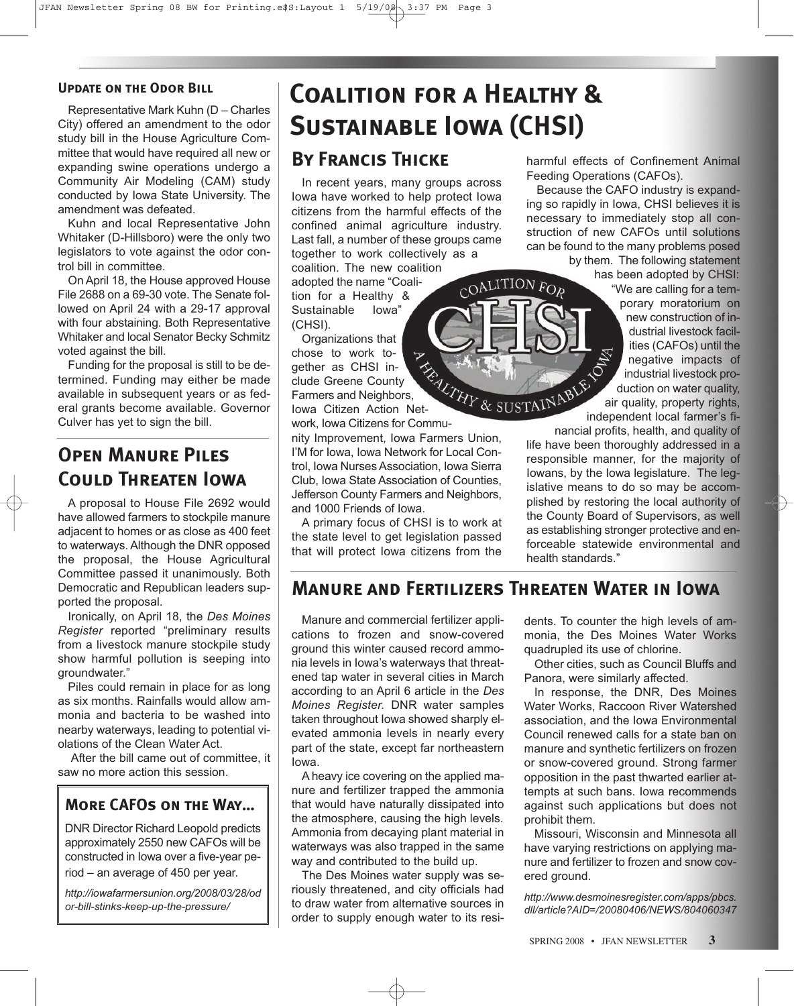#### **Update on the Odor Bill**

Representative Mark Kuhn (D – Charles City) offered an amendment to the odor study bill in the House Agriculture Committee that would have required all new or expanding swine operations undergo a Community Air Modeling (CAM) study conducted by Iowa State University. The amendment was defeated.

Kuhn and local Representative John Whitaker (D-Hillsboro) were the only two legislators to vote against the odor control bill in committee.

On April 18, the House approved House File 2688 on a 69-30 vote. The Senate followed on April 24 with a 29-17 approval with four abstaining. Both Representative Whitaker and local Senator Becky Schmitz voted against the bill.

Funding for the proposal is still to be determined. Funding may either be made available in subsequent years or as federal grants become available. Governor Culver has yet to sign the bill.

# **Open Manure Piles Could Threaten Iowa**

A proposal to House File 2692 would have allowed farmers to stockpile manure adjacent to homes or as close as 400 feet to waterways. Although the DNR opposed the proposal, the House Agricultural Committee passed it unanimously. Both Democratic and Republican leaders supported the proposal.

Ironically, on April 18, the *Des Moines Register* reported "preliminary results from a livestock manure stockpile study show harmful pollution is seeping into groundwater."

Piles could remain in place for as long as six months. Rainfalls would allow ammonia and bacteria to be washed into nearby waterways, leading to potential violations of the Clean Water Act.

After the bill came out of committee, it saw no more action this session.

### **More CAFOs on the Way…**

DNR Director Richard Leopold predicts approximately 2550 new CAFOs will be constructed in Iowa over a five-year period – an average of 450 per year.

*http://iowafarmersunion.org/2008/03/28/od or-bill-stinks-keep-up-the-pressure/*

# **Coalition for a Healthy & Sustainable Iowa (CHSI)**

### **By Francis Thicke**

In recent years, many groups across Iowa have worked to help protect Iowa citizens from the harmful effects of the confined animal agriculture industry. Last fall, a number of these groups came together to work collectively as a

coalition. The new coalition adopted the name "Coalition for a Healthy &<br>Sustainable lowa" Sustainable (CHSI).

Organizations that chose to work together as CHSI include Greene County gether as CHSI in-<br>clude Greene County<br>Farmers and Neighbors,<br>Citizen Action Net-Iowa Citizen Action Net-

work, Iowa Citizens for Commu-

nity Improvement, Iowa Farmers Union, I'M for Iowa, Iowa Network for Local Control, Iowa Nurses Association, Iowa Sierra Club, Iowa State Association of Counties, Jefferson County Farmers and Neighbors, and 1000 Friends of Iowa.

A primary focus of CHSI is to work at the state level to get legislation passed that will protect Iowa citizens from the harmful effects of Confinement Animal Feeding Operations (CAFOs).

Because the CAFO industry is expanding so rapidly in Iowa, CHSI believes it is necessary to immediately stop all construction of new CAFOs until solutions can be found to the many problems posed

by them. The following statement has been adopted by CHSI: "We are calling for a temporary moratorium on new construction of industrial livestock facilities (CAFOs) until the negative impacts of industrial livestock production on water quality, air quality, property rights, independent local farmer's fi-

nancial profits, health, and quality of life have been thoroughly addressed in a responsible manner, for the majority of Iowans, by the Iowa legislature. The legislative means to do so may be accomplished by restoring the local authority of the County Board of Supervisors, as well as establishing stronger protective and enforceable statewide environmental and health standards."

### **Manure and Fertilizers Threaten Water in Iowa**

 $COALITION FOR$ 

Manure and commercial fertilizer applications to frozen and snow-covered ground this winter caused record ammonia levels in Iowa's waterways that threatened tap water in several cities in March according to an April 6 article in the *Des Moines Register.* DNR water samples taken throughout Iowa showed sharply elevated ammonia levels in nearly every part of the state, except far northeastern Iowa.

A heavy ice covering on the applied manure and fertilizer trapped the ammonia that would have naturally dissipated into the atmosphere, causing the high levels. Ammonia from decaying plant material in waterways was also trapped in the same way and contributed to the build up.

The Des Moines water supply was seriously threatened, and city officials had to draw water from alternative sources in order to supply enough water to its residents. To counter the high levels of ammonia, the Des Moines Water Works quadrupled its use of chlorine.

Other cities, such as Council Bluffs and Panora, were similarly affected.

In response, the DNR, Des Moines Water Works, Raccoon River Watershed association, and the Iowa Environmental Council renewed calls for a state ban on manure and synthetic fertilizers on frozen or snow-covered ground. Strong farmer opposition in the past thwarted earlier attempts at such bans. Iowa recommends against such applications but does not prohibit them.

Missouri, Wisconsin and Minnesota all have varying restrictions on applying manure and fertilizer to frozen and snow covered ground.

*http://www.desmoinesregister.com/apps/pbcs. dll/article?AID=/20080406/NEWS/804060347*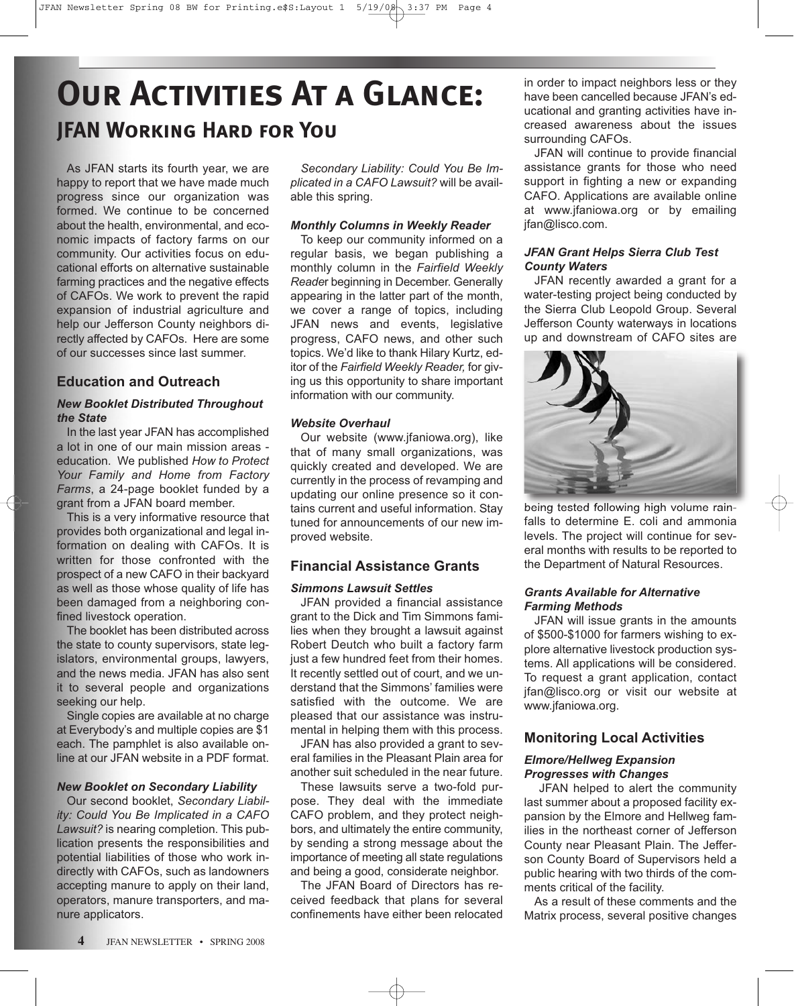# **Our Activities At a Glance: JFAN Working Hard for You**

As JFAN starts its fourth year, we are happy to report that we have made much progress since our organization was formed. We continue to be concerned about the health, environmental, and economic impacts of factory farms on our community. Our activities focus on educational efforts on alternative sustainable farming practices and the negative effects of CAFOs. We work to prevent the rapid expansion of industrial agriculture and help our Jefferson County neighbors directly affected by CAFOs. Here are some of our successes since last summer.

#### **Education and Outreach**

#### *New Booklet Distributed Throughout the State*

In the last year JFAN has accomplished a lot in one of our main mission areas education. We published *How to Protect Your Family and Home from Factory Farms*, a 24-page booklet funded by a grant from a JFAN board member.

This is a very informative resource that provides both organizational and legal information on dealing with CAFOs. It is written for those confronted with the prospect of a new CAFO in their backyard as well as those whose quality of life has been damaged from a neighboring confined livestock operation.

The booklet has been distributed across the state to county supervisors, state legislators, environmental groups, lawyers, and the news media. JFAN has also sent it to several people and organizations seeking our help.

Single copies are available at no charge at Everybody's and multiple copies are \$1 each. The pamphlet is also available online at our JFAN website in a PDF format.

#### *New Booklet on Secondary Liability*

Our second booklet, *Secondary Liability: Could You Be Implicated in a CAFO Lawsuit?* is nearing completion. This publication presents the responsibilities and potential liabilities of those who work indirectly with CAFOs, such as landowners accepting manure to apply on their land, operators, manure transporters, and manure applicators.

*Secondary Liability: Could You Be Implicated in a CAFO Lawsuit?* will be available this spring.

#### *Monthly Columns in Weekly Reader*

To keep our community informed on a regular basis, we began publishing a monthly column in the *Fairfield Weekly Reade*r beginning in December. Generally appearing in the latter part of the month, we cover a range of topics, including JFAN news and events, legislative progress, CAFO news, and other such topics. We'd like to thank Hilary Kurtz, editor of the *Fairfield Weekly Reader,* for giving us this opportunity to share important information with our community.

#### *Website Overhaul*

Our website (www.jfaniowa.org), like that of many small organizations, was quickly created and developed. We are currently in the process of revamping and updating our online presence so it contains current and useful information. Stay tuned for announcements of our new improved website.

#### **Financial Assistance Grants**

#### *Simmons Lawsuit Settles*

JFAN provided a financial assistance grant to the Dick and Tim Simmons families when they brought a lawsuit against Robert Deutch who built a factory farm just a few hundred feet from their homes. It recently settled out of court, and we understand that the Simmons' families were satisfied with the outcome. We are pleased that our assistance was instrumental in helping them with this process.

JFAN has also provided a grant to several families in the Pleasant Plain area for another suit scheduled in the near future.

These lawsuits serve a two-fold purpose. They deal with the immediate CAFO problem, and they protect neighbors, and ultimately the entire community, by sending a strong message about the importance of meeting all state regulations and being a good, considerate neighbor.

The JFAN Board of Directors has received feedback that plans for several confinements have either been relocated

in order to impact neighbors less or they have been cancelled because JFAN's educational and granting activities have increased awareness about the issues surrounding CAFOs.

JFAN will continue to provide financial assistance grants for those who need support in fighting a new or expanding CAFO. Applications are available online at www.jfaniowa.org or by emailing jfan@lisco.com.

#### *JFAN Grant Helps Sierra Club Test County Waters*

JFAN recently awarded a grant for a water-testing project being conducted by the Sierra Club Leopold Group. Several Jefferson County waterways in locations up and downstream of CAFO sites are



being tested following high volume rainfalls to determine E. coli and ammonia levels. The project will continue for several months with results to be reported to the Department of Natural Resources.

#### *Grants Available for Alternative Farming Methods*

JFAN will issue grants in the amounts of \$500-\$1000 for farmers wishing to explore alternative livestock production systems. All applications will be considered. To request a grant application, contact jfan@lisco.org or visit our website at www.jfaniowa.org.

#### **Monitoring Local Activities**

#### *Elmore/Hellweg Expansion Progresses with Changes*

JFAN helped to alert the community last summer about a proposed facility expansion by the Elmore and Hellweg families in the northeast corner of Jefferson County near Pleasant Plain. The Jefferson County Board of Supervisors held a public hearing with two thirds of the comments critical of the facility.

As a result of these comments and the Matrix process, several positive changes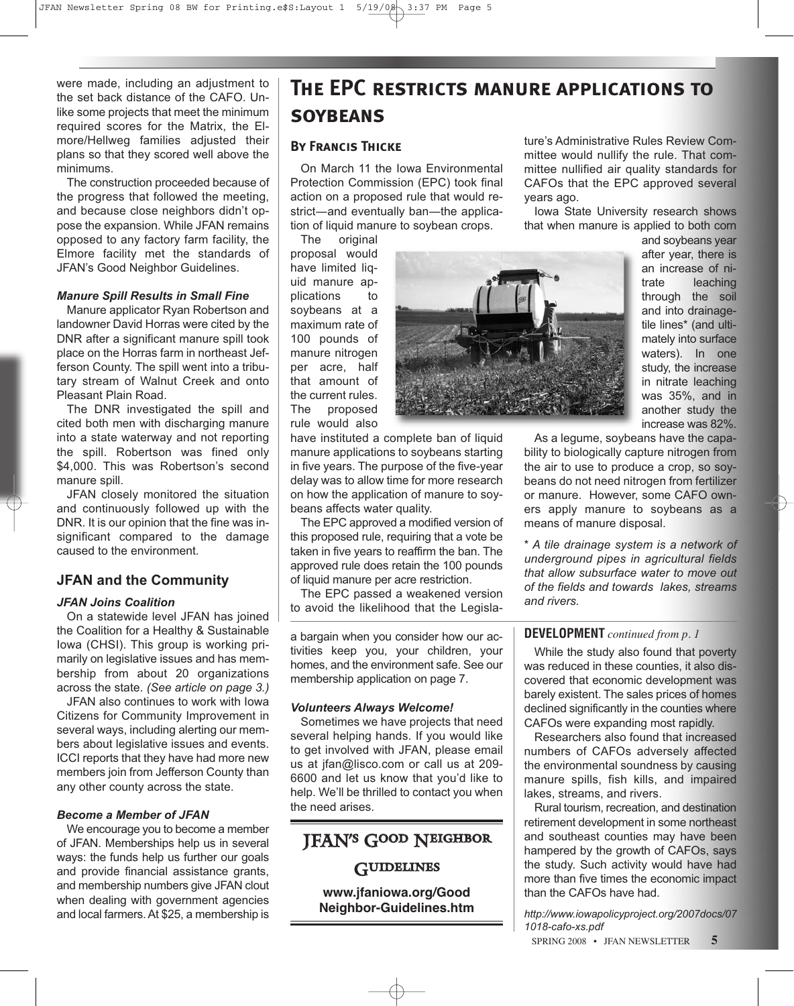were made, including an adjustment to the set back distance of the CAFO. Unlike some projects that meet the minimum required scores for the Matrix, the Elmore/Hellweg families adjusted their plans so that they scored well above the minimums.

The construction proceeded because of the progress that followed the meeting, and because close neighbors didn't oppose the expansion. While JFAN remains opposed to any factory farm facility, the Elmore facility met the standards of JFAN's Good Neighbor Guidelines.

#### *Manure Spill Results in Small Fine*

Manure applicator Ryan Robertson and landowner David Horras were cited by the DNR after a significant manure spill took place on the Horras farm in northeast Jefferson County. The spill went into a tributary stream of Walnut Creek and onto Pleasant Plain Road.

The DNR investigated the spill and cited both men with discharging manure into a state waterway and not reporting the spill. Robertson was fined only \$4,000. This was Robertson's second manure spill.

JFAN closely monitored the situation and continuously followed up with the DNR. It is our opinion that the fine was insignificant compared to the damage caused to the environment.

#### **JFAN and the Community**

#### *JFAN Joins Coalition*

On a statewide level JFAN has joined the Coalition for a Healthy & Sustainable Iowa (CHSI). This group is working primarily on legislative issues and has membership from about 20 organizations across the state. *(See article on page 3.)* 

JFAN also continues to work with Iowa Citizens for Community Improvement in several ways, including alerting our members about legislative issues and events. ICCI reports that they have had more new members join from Jefferson County than any other county across the state.

#### *Become a Member of JFAN*

We encourage you to become a member of JFAN. Memberships help us in several ways: the funds help us further our goals and provide financial assistance grants, and membership numbers give JFAN clout when dealing with government agencies and local farmers. At \$25, a membership is

# **The EPC restricts manure applications to SOYBEANS**

#### **By Francis Thicke**

On March 11 the Iowa Environmental Protection Commission (EPC) took final action on a proposed rule that would restrict—and eventually ban—the application of liquid manure to soybean crops.

The original proposal would have limited liquid manure applications to soybeans at a maximum rate of 100 pounds of manure nitrogen per acre, half that amount of the current rules. The proposed rule would also

have instituted a complete ban of liquid manure applications to soybeans starting in five years. The purpose of the five-year delay was to allow time for more research on how the application of manure to soybeans affects water quality.

The EPC approved a modified version of this proposed rule, requiring that a vote be taken in five years to reaffirm the ban. The approved rule does retain the 100 pounds of liquid manure per acre restriction.

The EPC passed a weakened version to avoid the likelihood that the Legisla-

a bargain when you consider how our activities keep you, your children, your homes, and the environment safe. See our membership application on page 7.

#### *Volunteers Always Welcome!*

Sometimes we have projects that need several helping hands. If you would like to get involved with JFAN, please email us at jfan@lisco.com or call us at 209- 6600 and let us know that you'd like to help. We'll be thrilled to contact you when the need arises.

# JFAN's Good Neighbor **GUIDELINES**

**www.jfaniowa.org/Good**

**Neighbor-Guidelines.htm**

ture's Administrative Rules Review Committee would nullify the rule. That committee nullified air quality standards for CAFOs that the EPC approved several years ago.

Iowa State University research shows that when manure is applied to both corn

> and soybeans year after year, there is an increase of nitrate leaching through the soil and into drainagetile lines\* (and ultimately into surface waters). In one study, the increase in nitrate leaching was 35%, and in another study the increase was 82%.

As a legume, soybeans have the capability to biologically capture nitrogen from the air to use to produce a crop, so soybeans do not need nitrogen from fertilizer or manure. However, some CAFO owners apply manure to soybeans as a means of manure disposal.

*\* A tile drainage system is a network of underground pipes in agricultural fields that allow subsurface water to move out of the fields and towards lakes, streams and rivers.*

#### **DEVELOPMENT** *continued from p. 1*

While the study also found that poverty was reduced in these counties, it also discovered that economic development was barely existent. The sales prices of homes declined significantly in the counties where CAFOs were expanding most rapidly.

Researchers also found that increased numbers of CAFOs adversely affected the environmental soundness by causing manure spills, fish kills, and impaired lakes, streams, and rivers.

Rural tourism, recreation, and destination retirement development in some northeast and southeast counties may have been hampered by the growth of CAFOs, says the study. Such activity would have had more than five times the economic impact than the CAFOs have had.

*http://www.iowapolicyproject.org/2007docs/07 1018-cafo-xs.pdf*

SPRING 2008 • JFAN NEWSLETTER **5**

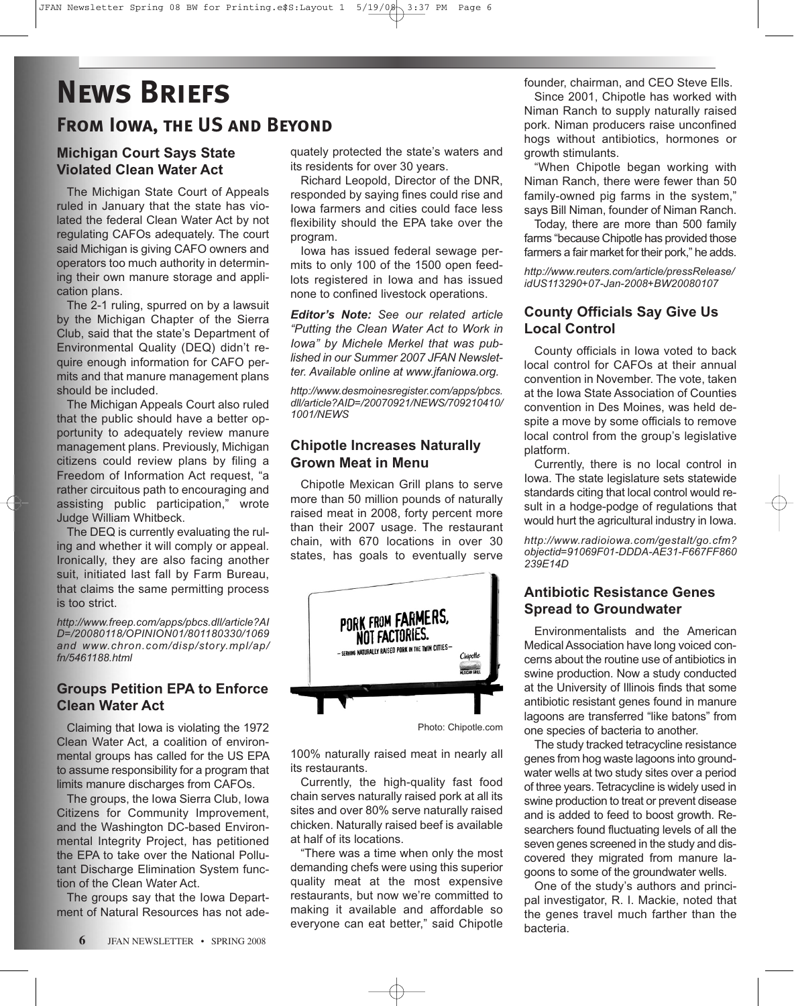# **News Briefs From Iowa, the US and Beyond**

## **Michigan Court Says State Violated Clean Water Act**

The Michigan State Court of Appeals ruled in January that the state has violated the federal Clean Water Act by not regulating CAFOs adequately. The court said Michigan is giving CAFO owners and operators too much authority in determining their own manure storage and application plans.

The 2-1 ruling, spurred on by a lawsuit by the Michigan Chapter of the Sierra Club, said that the state's Department of Environmental Quality (DEQ) didn't require enough information for CAFO permits and that manure management plans should be included.

The Michigan Appeals Court also ruled that the public should have a better opportunity to adequately review manure management plans. Previously, Michigan citizens could review plans by filing a Freedom of Information Act request, "a rather circuitous path to encouraging and assisting public participation," wrote Judge William Whitbeck.

The DEQ is currently evaluating the ruling and whether it will comply or appeal. Ironically, they are also facing another suit, initiated last fall by Farm Bureau, that claims the same permitting process is too strict.

*http://www.freep.com/apps/pbcs.dll/article?AI D=/20080118/OPINION01/801180330/1069 and www.chron.com/disp/story.mpl/ap/ fn/5461188.html*

### **Groups Petition EPA to Enforce Clean Water Act**

Claiming that Iowa is violating the 1972 Clean Water Act, a coalition of environmental groups has called for the US EPA to assume responsibility for a program that limits manure discharges from CAFOs.

The groups, the Iowa Sierra Club, Iowa Citizens for Community Improvement, and the Washington DC-based Environmental Integrity Project, has petitioned the EPA to take over the National Pollutant Discharge Elimination System function of the Clean Water Act.

The groups say that the Iowa Department of Natural Resources has not adequately protected the state's waters and its residents for over 30 years.

Richard Leopold, Director of the DNR, responded by saying fines could rise and Iowa farmers and cities could face less flexibility should the EPA take over the program.

Iowa has issued federal sewage permits to only 100 of the 1500 open feedlots registered in Iowa and has issued none to confined livestock operations.

*Editor's Note: See our related article "Putting the Clean Water Act to Work in Iowa" by Michele Merkel that was published in our Summer 2007 JFAN Newsletter. Available online at www.jfaniowa.org.*

*http://www.desmoinesregister.com/apps/pbcs. dll/article?AID=/20070921/NEWS/709210410/ 1001/NEWS*

#### **Chipotle Increases Naturally Grown Meat in Menu**

Chipotle Mexican Grill plans to serve more than 50 million pounds of naturally raised meat in 2008, forty percent more than their 2007 usage. The restaurant chain, with 670 locations in over 30 states, has goals to eventually serve



Photo: Chipotle.com

100% naturally raised meat in nearly all its restaurants.

Currently, the high-quality fast food chain serves naturally raised pork at all its sites and over 80% serve naturally raised chicken. Naturally raised beef is available at half of its locations.

"There was a time when only the most demanding chefs were using this superior quality meat at the most expensive restaurants, but now we're committed to making it available and affordable so everyone can eat better," said Chipotle

founder, chairman, and CEO Steve Ells.

Since 2001, Chipotle has worked with Niman Ranch to supply naturally raised pork. Niman producers raise unconfined hogs without antibiotics, hormones or growth stimulants.

"When Chipotle began working with Niman Ranch, there were fewer than 50 family-owned pig farms in the system," says Bill Niman, founder of Niman Ranch.

Today, there are more than 500 family farms "because Chipotle has provided those farmers a fair market for their pork," he adds.

*http://www.reuters.com/article/pressRelease/ idUS113290+07-Jan-2008+BW20080107*

### **County Officials Say Give Us Local Control**

County officials in Iowa voted to back local control for CAFOs at their annual convention in November. The vote, taken at the Iowa State Association of Counties convention in Des Moines, was held despite a move by some officials to remove local control from the group's legislative platform.

Currently, there is no local control in Iowa. The state legislature sets statewide standards citing that local control would result in a hodge-podge of regulations that would hurt the agricultural industry in Iowa.

*http://www.radioiowa.com/gestalt/go.cfm? objectid=91069F01-DDDA-AE31-F667FF860 239E14D*

### **Antibiotic Resistance Genes Spread to Groundwater**

Environmentalists and the American Medical Association have long voiced concerns about the routine use of antibiotics in swine production. Now a study conducted at the University of Illinois finds that some antibiotic resistant genes found in manure lagoons are transferred "like batons" from one species of bacteria to another.

The study tracked tetracycline resistance genes from hog waste lagoons into groundwater wells at two study sites over a period of three years. Tetracycline is widely used in swine production to treat or prevent disease and is added to feed to boost growth. Researchers found fluctuating levels of all the seven genes screened in the study and discovered they migrated from manure lagoons to some of the groundwater wells.

One of the study's authors and principal investigator, R. I. Mackie, noted that the genes travel much farther than the bacteria.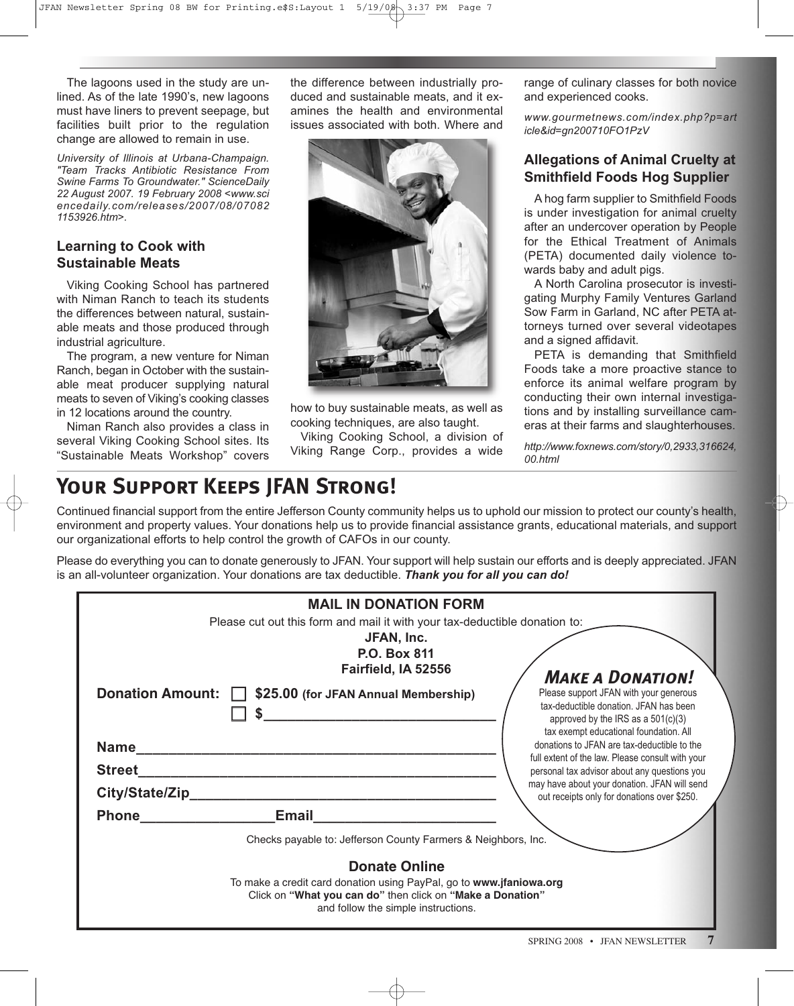The lagoons used in the study are unlined. As of the late 1990's, new lagoons must have liners to prevent seepage, but facilities built prior to the regulation change are allowed to remain in use.

*University of Illinois at Urbana-Champaign. "Team Tracks Antibiotic Resistance From Swine Farms To Groundwater." ScienceDaily 22 August 2007. 19 February 2008 <www.sci encedaily.com /releases/2007/08/07082 1153926.htm>.*

### **Learning to Cook with Sustainable Meats**

Viking Cooking School has partnered with Niman Ranch to teach its students the differences between natural, sustainable meats and those produced through industrial agriculture.

The program, a new venture for Niman Ranch, began in October with the sustainable meat producer supplying natural meats to seven of Viking's cooking classes in 12 locations around the country.

Niman Ranch also provides a class in several Viking Cooking School sites. Its "Sustainable Meats Workshop" covers

the difference between industrially produced and sustainable meats, and it examines the health and environmental issues associated with both. Where and



how to buy sustainable meats, as well as cooking techniques, are also taught.

Viking Cooking School, a division of Viking Range Corp., provides a wide range of culinary classes for both novice and experienced cooks.

*www.gourmetnews.com/index.php?p=art icle&id=gn200710FO1PzV*

### **Allegations of Animal Cruelty at Smithfield Foods Hog Supplier**

A hog farm supplier to Smithfield Foods is under investigation for animal cruelty after an undercover operation by People for the Ethical Treatment of Animals (PETA) documented daily violence towards baby and adult pigs.

A North Carolina prosecutor is investigating Murphy Family Ventures Garland Sow Farm in Garland, NC after PETA attorneys turned over several videotapes and a signed affidavit.

PETA is demanding that Smithfield Foods take a more proactive stance to enforce its animal welfare program by conducting their own internal investigations and by installing surveillance cameras at their farms and slaughterhouses.

*http://www.foxnews.com/story/0,2933,316624, 00.html*

# **Your Support Keeps JFAN Strong!**

Continued financial support from the entire Jefferson County community helps us to uphold our mission to protect our county's health, environment and property values. Your donations help us to provide financial assistance grants, educational materials, and support our organizational efforts to help control the growth of CAFOs in our county.

Please do everything you can to donate generously to JFAN. Your support will help sustain our efforts and is deeply appreciated. JFAN is an all-volunteer organization. Your donations are tax deductible. *Thank you for all you can do!*

|                                                                            | <b>MAIL IN DONATION FORM</b>                                                                                                                                             |                                                                                                                                                                    |  |
|----------------------------------------------------------------------------|--------------------------------------------------------------------------------------------------------------------------------------------------------------------------|--------------------------------------------------------------------------------------------------------------------------------------------------------------------|--|
| Please cut out this form and mail it with your tax-deductible donation to: |                                                                                                                                                                          |                                                                                                                                                                    |  |
|                                                                            | JFAN, Inc.                                                                                                                                                               |                                                                                                                                                                    |  |
|                                                                            | <b>P.O. Box 811</b>                                                                                                                                                      |                                                                                                                                                                    |  |
|                                                                            | Fairfield, IA 52556                                                                                                                                                      | <b>MAKE A DONATION!</b>                                                                                                                                            |  |
|                                                                            | Donation Amount:   \$25.00 (for JFAN Annual Membership)                                                                                                                  | Please support JFAN with your generous<br>tax-deductible donation. JFAN has been<br>approved by the IRS as a $501(c)(3)$<br>tax exempt educational foundation. All |  |
| <b>Name</b>                                                                |                                                                                                                                                                          | donations to JFAN are tax-deductible to the                                                                                                                        |  |
| <b>Street</b>                                                              |                                                                                                                                                                          | full extent of the law. Please consult with your<br>personal tax advisor about any questions you                                                                   |  |
|                                                                            |                                                                                                                                                                          | may have about your donation. JFAN will send<br>out receipts only for donations over \$250.                                                                        |  |
| <b>Phone Contract Phone</b>                                                | Email                                                                                                                                                                    |                                                                                                                                                                    |  |
| Checks payable to: Jefferson County Farmers & Neighbors, Inc.              |                                                                                                                                                                          |                                                                                                                                                                    |  |
| <b>Donate Online</b>                                                       |                                                                                                                                                                          |                                                                                                                                                                    |  |
|                                                                            | To make a credit card donation using PayPal, go to www.jfaniowa.org<br>Click on "What you can do" then click on "Make a Donation"<br>and follow the simple instructions. |                                                                                                                                                                    |  |